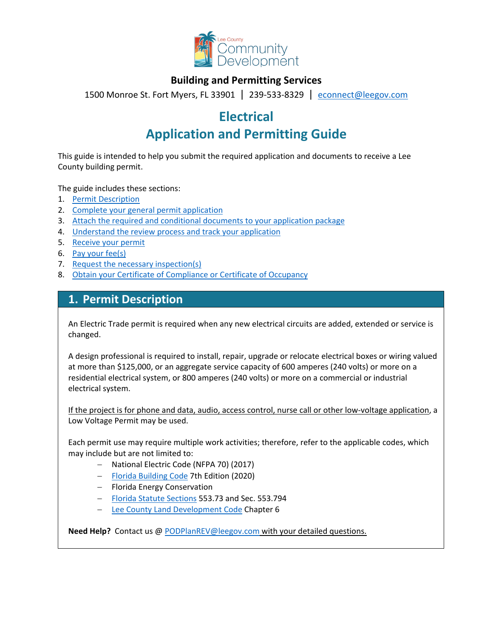

### **Building and Permitting Services**

1500 Monroe St. Fort Myers, FL 33901 | 239-533-8329 |[econnect@leegov.com](mailto:econnect@leegov.com)

# **Electrical**

# **Application and Permitting Guide**

This guide is intended to help you submit the required application and documents to receive a Lee County building permit.

The guide includes these sections:

- 1. [Permit Description](#page-0-0)
- 2. [Complete your general permit application](#page-1-0)
- 3. [Attach the required and conditional documents to your application package](#page-3-0)
- 4. [Understand the review process and track your application](#page-4-0)
- 5. [Receive your permit](#page-5-0)
- 6. [Pay your fee\(s\)](#page-5-1)
- 7. [Request the necessary inspection\(s\)](#page-5-2)
- 8. [Obtain your Certificate of Compliance or Certificate of Occupancy](#page-6-0)

### <span id="page-0-0"></span>**1. Permit Description**

An Electric Trade permit is required when any new electrical circuits are added, extended or service is changed.

A design professional is required to install, repair, upgrade or relocate electrical boxes or wiring valued at more than \$125,000, or an aggregate service capacity of 600 amperes (240 volts) or more on a residential electrical system, or 800 amperes (240 volts) or more on a commercial or industrial electrical system.

If the project is for phone and data, audio, access control, nurse call or other low-voltage application, a Low Voltage Permit may be used.

Each permit use may require multiple work activities; therefore, refer to the applicable codes, which may include but are not limited to:

- − National Electric Code (NFPA 70) (2017)
- − [Florida Building Code](https://codes.iccsafe.org/codes/florida) 7th Edition (2020)
- − Florida Energy Conservation
- − [Florida Statute Sections](http://www.leg.state.fl.us/Statutes/index.cfm?App_mode=Display_Statute&URL=0500-0599/0553/Sections/0553.73.html) 553.73 and Sec. 553.794
- − [Lee County Land Development Code](https://library.municode.com/fl/lee_county/codes/land_development_code?nodeId=LADECOLECOFL) Chapter 6

**Need Help?** Contact us @ [PODPlanREV@leegov.com](mailto:PODPlanREV@leegov.com) with your detailed questions.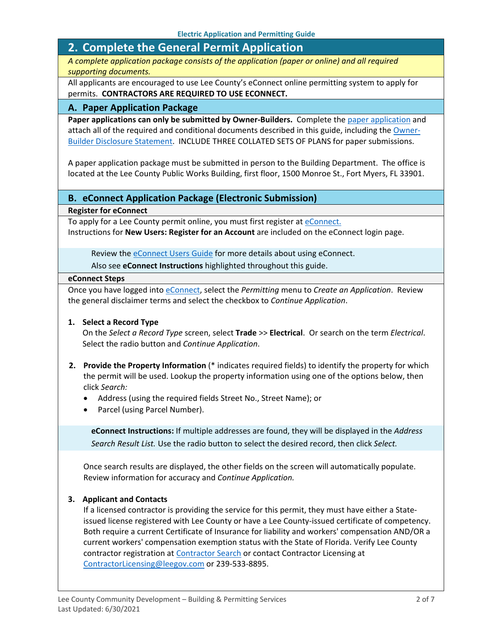# <span id="page-1-0"></span>**2. Complete the General Permit Application**

*A complete application package consists of the application (paper or online) and all required supporting documents.*

All applicants are encouraged to use Lee County's eConnect online permitting system to apply for permits. **CONTRACTORS ARE REQUIRED TO USE ECONNECT.**

#### **A. Paper Application Package**

Paper applications can only be submitted by Owner-Builders. Complete the [paper application](https://www.leegov.com/dcd/PermittingDocs/TradePermitAppCreditCard.pdf) and attach all of the required and conditional documents described in this guide, including the [Owner-](https://www.leegov.com/dcd/PermittingDocs/OwnerBldrDisclosure.pdf)[Builder Disclosure Statement.](https://www.leegov.com/dcd/PermittingDocs/OwnerBldrDisclosure.pdf) INCLUDE THREE COLLATED SETS OF PLANS for paper submissions.

A paper application package must be submitted in person to the Building Department. The office is located at the Lee County Public Works Building, first floor, 1500 Monroe St., Fort Myers, FL 33901.

#### **B. eConnect Application Package (Electronic Submission)**

**Register for eConnect**

To apply for a Lee County permit online, you must first register at [eConnect.](https://accelaaca.leegov.com/aca/) Instructions for **New Users: Register for an Account** are included on the eConnect login page.

Review th[e eConnect Users Guide](https://www.leegov.com/dcd/Documents/eServ/eConnect/eServicesGuide.pdf) for more details about using eConnect.

Also see **eConnect Instructions** highlighted throughout this guide.

#### **eConnect Steps**

Once you have logged into [eConnect,](https://accelaaca.leegov.com/aca/) select the *Permitting* menu to *Create an Application*. Review the general disclaimer terms and select the checkbox to *Continue Application*.

#### **1. Select a Record Type**

On the *Select a Record Type* screen, select **Trade** >> **Electrical**. Or search on the term *Electrical*. Select the radio button and *Continue Application*.

- **2. Provide the Property Information** (\* indicates required fields) to identify the property for which the permit will be used. Lookup the property information using one of the options below, then click *Search:*
	- Address (using the required fields Street No., Street Name); or
	- Parcel (using Parcel Number).

**eConnect Instructions:** If multiple addresses are found, they will be displayed in the *Address Search Result List.* Use the radio button to select the desired record, then click *Select.*

Once search results are displayed, the other fields on the screen will automatically populate. Review information for accuracy and *Continue Application.*

#### **3. Applicant and Contacts**

If a licensed contractor is providing the service for this permit, they must have either a Stateissued license registered with Lee County or have a Lee County-issued certificate of competency. Both require a current Certificate of Insurance for liability and workers' compensation AND/OR a current workers' compensation exemption status with the State of Florida. Verify Lee County contractor registration at [Contractor Search](https://www.leegov.com/dcd/ContLic/ActCont) or contact Contractor Licensing at [ContractorLicensing@leegov.com](mailto:ContractorLicensing@leegov.com) or 239-533-8895.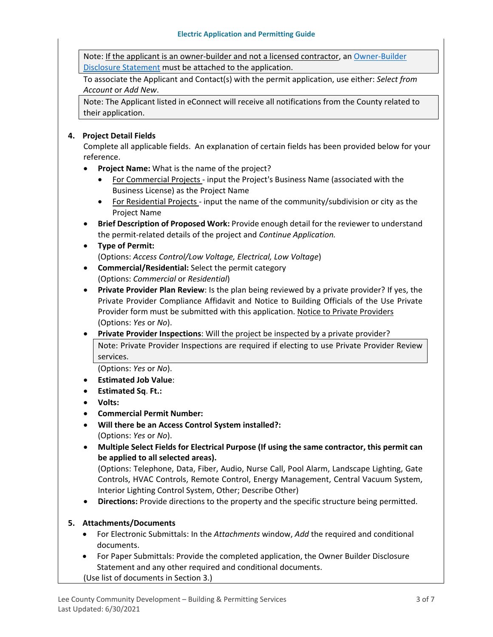Note: If the applicant is an owner-builder and not a licensed contractor, a[n Owner-Builder](https://www.leegov.com/dcd/PermittingDocs/OwnerBldrDisclosure.pdf)  [Disclosure Statement](https://www.leegov.com/dcd/PermittingDocs/OwnerBldrDisclosure.pdf) must be attached to the application.

To associate the Applicant and Contact(s) with the permit application, use either: *Select from Account* or *Add New*.

Note: The Applicant listed in eConnect will receive all notifications from the County related to their application.

#### **4. Project Detail Fields**

Complete all applicable fields. An explanation of certain fields has been provided below for your reference.

- **Project Name:** What is the name of the project?
	- For Commercial Projects input the Project's Business Name (associated with the Business License) as the Project Name
	- For Residential Projects input the name of the community/subdivision or city as the Project Name
- **Brief Description of Proposed Work:** Provide enough detail for the reviewer to understand the permit-related details of the project and *Continue Application.*

#### • **Type of Permit:**

(Options: *Access Control/Low Voltage, Electrical, Low Voltage*)

- **Commercial/Residential:** Select the permit category (Options: *Commercial* or *Residential*)
- **Private Provider Plan Review**: Is the plan being reviewed by a private provider? If yes, the Private Provider Compliance Affidavit and Notice to Building Officials of the Use Private Provider form must be submitted with this application. [Notice to Private Providers](https://www.floridabuilding.org/fbc/committees/Private_Providers/Private_Providers.htm) (Options: *Yes* or *No*).
- **Private Provider Inspections**: Will the project be inspected by a private provider? Note: Private Provider Inspections are required if electing to use Private Provider Review services.

(Options: *Yes* or *No*).

- **Estimated Job Value**:
- **Estimated Sq**. **Ft.:**
- **Volts:**
- **Commercial Permit Number:**
- **Will there be an Access Control System installed?:**
	- (Options: *Yes* or *No*).
- **Multiple Select Fields for Electrical Purpose (If using the same contractor, this permit can be applied to all selected areas).**

(Options: Telephone, Data, Fiber, Audio, Nurse Call, Pool Alarm, Landscape Lighting, Gate Controls, HVAC Controls, Remote Control, Energy Management, Central Vacuum System, Interior Lighting Control System, Other; Describe Other)

• **Directions:** Provide directions to the property and the specific structure being permitted.

#### **5. Attachments/Documents**

- For Electronic Submittals: In the *Attachments* window, *Add* the required and conditional documents.
- For Paper Submittals: Provide the completed application, the Owner Builder Disclosure Statement and any other required and conditional documents. (Use list of documents in Section 3.)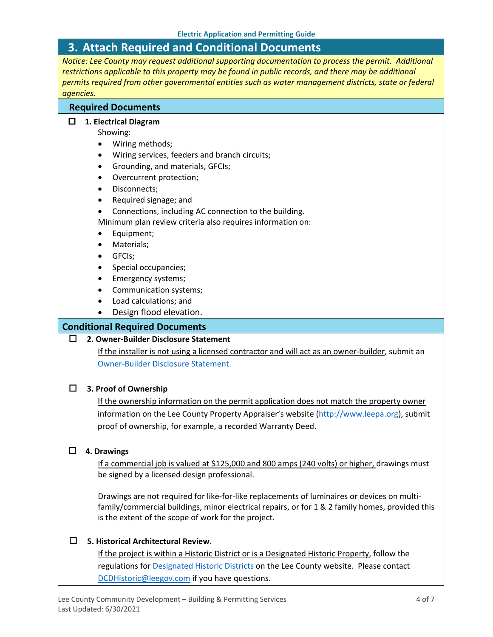## <span id="page-3-0"></span>**3. Attach Required and Conditional Documents**

*Notice: Lee County may request additional supporting documentation to process the permit. Additional restrictions applicable to this property may be found in public records, and there may be additional permits required from other governmental entities such as water management districts, state or federal agencies.*

#### **Required Documents**

#### **1. Electrical Diagram**

Showing:

- Wiring methods;
- Wiring services, feeders and branch circuits;
- Grounding, and materials, GFCIs;
- Overcurrent protection;
- Disconnects;
- Required signage; and
- Connections, including AC connection to the building.

Minimum plan review criteria also requires information on:

- Equipment;
- Materials;
- GFCIs;
- Special occupancies;
- Emergency systems;
- Communication systems;
- Load calculations; and
- Design flood elevation.

#### **Conditional Required Documents**

#### **2. Owner-Builder Disclosure Statement**

If the installer is not using a licensed contractor and will act as an owner-builder, submit an [Owner-Builder Disclosure Statement.](https://www.leegov.com/dcd/PermittingDocs/OwnerBldrDisclosure.pdf)

#### **3. Proof of Ownership**

If the ownership information on the permit application does not match the property owner information on the Lee County Property Appraiser's website [\(http://www.leepa.org\)](http://www.leepa.org/), submit proof of ownership, for example, a recorded Warranty Deed.

#### **4. Drawings**

If a commercial job is valued at \$125,000 and 800 amps (240 volts) or higher, drawings must be signed by a licensed design professional.

Drawings are not required for like-for-like replacements of luminaires or devices on multifamily/commercial buildings, minor electrical repairs, or for 1 & 2 family homes, provided this is the extent of the scope of work for the project.

#### **5. Historical Architectural Review.**

If the project is within a Historic District or is a Designated Historic Property, follow the regulations for **Designated Historic Districts** on the Lee County website. Please contact [DCDHistoric@leegov.com](mailto:DCDHistoric@leegov.com) if you have questions.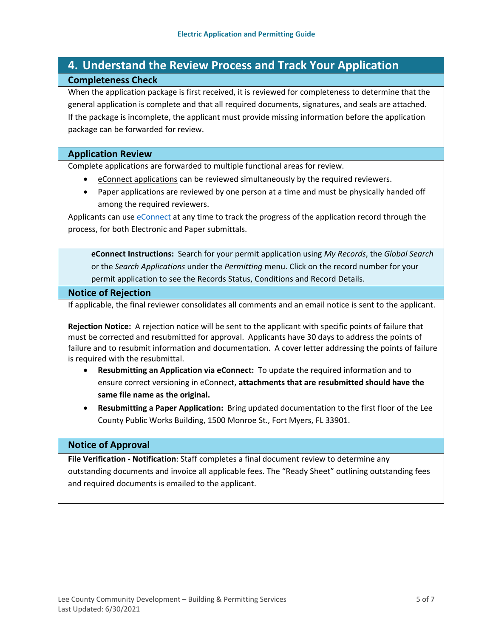## <span id="page-4-0"></span>**4. Understand the Review Process and Track Your Application Completeness Check**

When the application package is first received, it is reviewed for completeness to determine that the general application is complete and that all required documents, signatures, and seals are attached. If the package is incomplete, the applicant must provide missing information before the application package can be forwarded for review.

#### **Application Review**

Complete applications are forwarded to multiple functional areas for review.

- eConnect applications can be reviewed simultaneously by the required reviewers.
- Paper applications are reviewed by one person at a time and must be physically handed off among the required reviewers.

Applicants can use [eConnect](https://accelaaca.leegov.com/aca/) at any time to track the progress of the application record through the process, for both Electronic and Paper submittals.

**eConnect Instructions:** Search for your permit application using *My Records*, the *Global Search* or the *Search Applications* under the *Permitting* menu. Click on the record number for your permit application to see the Records Status, Conditions and Record Details.

#### **Notice of Rejection**

If applicable, the final reviewer consolidates all comments and an email notice is sent to the applicant.

**Rejection Notice:** A rejection notice will be sent to the applicant with specific points of failure that must be corrected and resubmitted for approval. Applicants have 30 days to address the points of failure and to resubmit information and documentation. A cover letter addressing the points of failure is required with the resubmittal.

- **Resubmitting an Application via eConnect:** To update the required information and to ensure correct versioning in eConnect, **attachments that are resubmitted should have the same file name as the original.**
- **Resubmitting a Paper Application:** Bring updated documentation to the first floor of the Lee County Public Works Building, 1500 Monroe St., Fort Myers, FL 33901.

#### **Notice of Approval**

**File Verification - Notification**: Staff completes a final document review to determine any outstanding documents and invoice all applicable fees. The "Ready Sheet" outlining outstanding fees and required documents is emailed to the applicant.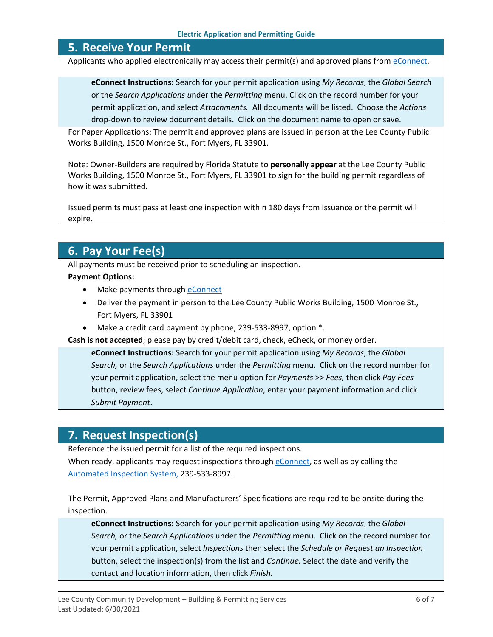### <span id="page-5-0"></span>**5. Receive Your Permit**

Applicants who applied electronically may access their permit(s) and approved plans from [eConnect.](https://accelaaca.leegov.com/aca/)

**eConnect Instructions:** Search for your permit application using *My Records*, the *Global Search* or the *Search Applications u*nder the *Permitting* menu. Click on the record number for your permit application, and select *Attachments.* All documents will be listed. Choose the *Actions*  drop-down to review document details. Click on the document name to open or save.

For Paper Applications: The permit and approved plans are issued in person at the Lee County Public Works Building, 1500 Monroe St., Fort Myers, FL 33901.

Note: Owner-Builders are required by Florida Statute to **personally appear** at the Lee County Public Works Building, 1500 Monroe St., Fort Myers, FL 33901 to sign for the building permit regardless of how it was submitted.

Issued permits must pass at least one inspection within 180 days from issuance or the permit will expire.

# <span id="page-5-1"></span>**6. Pay Your Fee(s)**

All payments must be received prior to scheduling an inspection.

#### **Payment Options:**

- Make payments through [eConnect](https://accelaaca.leegov.com/aca/)
- Deliver the payment in person to the Lee County Public Works Building, 1500 Monroe St., Fort Myers, FL 33901
- Make a credit card payment by phone, 239-533-8997, option \*.

**Cash is not accepted**; please pay by credit/debit card, check, eCheck, or money order.

**eConnect Instructions:** Search for your permit application using *My Records*, the *Global Search,* or the *Search Applications* under the *Permitting* menu. Click on the record number for your permit application, select the menu option for *Payments* >> *Fees,* then click *Pay Fees* button, review fees, select *Continue Application*, enter your payment information and click *Submit Payment*.

### <span id="page-5-2"></span>**7. Request Inspection(s)**

Reference the issued permit for a list of the required inspections.

When ready, applicants may request inspections through [eConnect,](https://accelaaca.leegov.com/aca/) as well as by calling the [Automated Inspection System,](https://www.leegov.com/dcd/BldPermitServ/Insp/AutoInsp) 239-533-8997.

The Permit, Approved Plans and Manufacturers' Specifications are required to be onsite during the inspection.

**eConnect Instructions:** Search for your permit application using *My Records*, the *Global Search,* or the *Search Applications* under the *Permitting* menu. Click on the record number for your permit application, select *Inspections* then select the *Schedule or Request an Inspection* button, select the inspection(s) from the list and *Continue.* Select the date and verify the contact and location information, then click *Finish.*